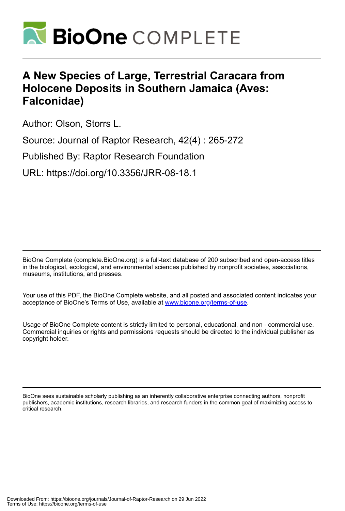

# **A New Species of Large, Terrestrial Caracara from Holocene Deposits in Southern Jamaica (Aves: Falconidae)**

Author: Olson, Storrs L.

Source: Journal of Raptor Research, 42(4) : 265-272

Published By: Raptor Research Foundation

URL: https://doi.org/10.3356/JRR-08-18.1

BioOne Complete (complete.BioOne.org) is a full-text database of 200 subscribed and open-access titles in the biological, ecological, and environmental sciences published by nonprofit societies, associations, museums, institutions, and presses.

Your use of this PDF, the BioOne Complete website, and all posted and associated content indicates your acceptance of BioOne's Terms of Use, available at www.bioone.org/terms-of-use.

Usage of BioOne Complete content is strictly limited to personal, educational, and non - commercial use. Commercial inquiries or rights and permissions requests should be directed to the individual publisher as copyright holder.

BioOne sees sustainable scholarly publishing as an inherently collaborative enterprise connecting authors, nonprofit publishers, academic institutions, research libraries, and research funders in the common goal of maximizing access to critical research.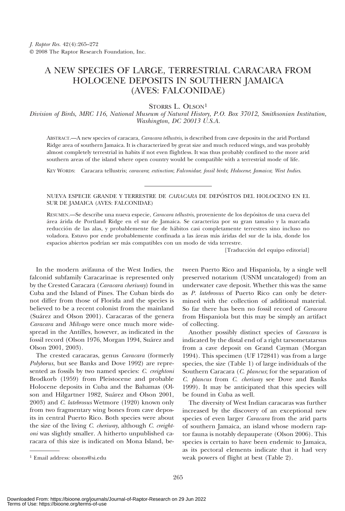# A NEW SPECIES OF LARGE, TERRESTRIAL CARACARA FROM HOLOCENE DEPOSITS IN SOUTHERN JAMAICA (AVES: FALCONIDAE)

STORRS L. OLSON<sup>1</sup>

Division of Birds, MRC 116, National Museum of Natural History, P.O. Box 37012, Smithsonian Institution, Washington, DC 20013 U.S.A.

ABSTRACT.—A new species of caracara, Caracara tellustris, is described from cave deposits in the arid Portland Ridge area of southern Jamaica. It is characterized by great size and much reduced wings, and was probably almost completely terrestrial in habits if not even flightless. It was thus probably confined to the more arid southern areas of the island where open country would be compatible with a terrestrial mode of life.

KEY WORDS: Caracara tellustris; caracara; extinction; Falconidae; fossil birds; Holocene; Jamaica; West Indies.

#### NUEVA ESPECIE GRANDE Y TERRESTRE DE CARACARA DE DEPÓSITOS DEL HOLOCENO EN EL SUR DE JAMAICA (AVES: FALCONIDAE)

RESUMEN.—Se describe una nueva especie, Caracara tellustris, proveniente de los depósitos de una cueva del área árida de Portland Ridge en el sur de Jamaica. Se caracteriza por su gran tamaño y la marcada reducción de las alas, y probablemente fue de hábitos casi completamente terrestres sino incluso no voladora. Estuvo por ende probablemente confinada a las áreas más áridas del sur de la isla, donde los espacios abiertos podrían ser más compatibles con un modo de vida terrestre.

[Traducción del equipo editorial]

In the modern avifauna of the West Indies, the falconid subfamily Caracarinae is represented only by the Crested Caracara (Caracara cheriway) found in Cuba and the Island of Pines. The Cuban birds do not differ from those of Florida and the species is believed to be a recent colonist from the mainland (Suárez and Olson 2001). Caracaras of the genera Caracara and Milvago were once much more widespread in the Antilles, however, as indicated in the fossil record (Olson 1976, Morgan 1994, Suárez and Olson 2001, 2003).

The crested caracaras, genus Caracara (formerly Polyborus, but see Banks and Dove 1992) are represented as fossils by two named species: C. creightoni Brodkorb (1959) from Pleistocene and probable Holocene deposits in Cuba and the Bahamas (Olson and Hilgartner 1982, Suárez and Olson 2001, 2003) and *C. latebrosus* Wetmore (1920) known only from two fragmentary wing bones from cave deposits in central Puerto Rico. Both species were about the size of the living C. cheriway, although C. creightoni was slightly smaller. A hitherto unpublished caracara of this size is indicated on Mona Island, be-

tween Puerto Rico and Hispaniola, by a single well preserved notarium (USNM uncataloged) from an underwater cave deposit. Whether this was the same as P. latebrosus of Puerto Rico can only be determined with the collection of additional material. So far there has been no fossil record of Caracara from Hispaniola but this may be simply an artifact of collecting.

Another possibly distinct species of Caracara is indicated by the distal end of a right tarsometatarsus from a cave deposit on Grand Cayman (Morgan 1994). This specimen (UF 172841) was from a large species, the size (Table 1) of large individuals of the Southern Caracara (C. plancus; for the separation of C. plancus from C. cheriway see Dove and Banks 1999). It may be anticipated that this species will be found in Cuba as well.

The diversity of West Indian caracaras was further increased by the discovery of an exceptional new species of even larger Caracara from the arid parts of southern Jamaica, an island whose modern raptor fauna is notably depauperate (Olson 2006). This species is certain to have been endemic to Jamaica, as its pectoral elements indicate that it had very weak powers of flight at best (Table 2). <sup>1</sup> Email address: olsons@si.edu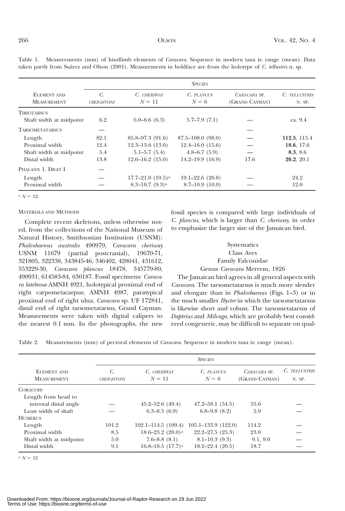|                                               | <b>SPECIES</b>                     |                          |                        |                                |                         |  |  |
|-----------------------------------------------|------------------------------------|--------------------------|------------------------|--------------------------------|-------------------------|--|--|
| ELEMENT AND<br><b>MEASUREMENT</b>             | $\mathcal{C}$<br><b>CREIGHTONI</b> | C. CHERIWAY<br>$N = 11$  | C. PLANCUS<br>$N=6$    | CARACARA SP.<br>(GRAND CAYMAN) | C. TELLUSTRIS<br>N. SP. |  |  |
| <b>TIBIOTARSUS</b><br>Shaft width at midpoint | 6.2                                | $6.0 - 6.6(6.3)$         | $5.7 - 7.9(7.1)$       |                                | ca. 9.4                 |  |  |
| <b>TARSOMETATARSUS</b>                        |                                    |                          |                        |                                |                         |  |  |
| Length                                        | 82.1                               | $85.8 - 97.3$ (91.6)     | $87.5 - 108.0(98.0)$   |                                | 112.5, 115.4            |  |  |
| Proximal width                                | 12.4                               | $12.3 - 13.6$ $(13.0)$   | $12.4 - 16.0$ $(15.6)$ |                                | 18.6, 17.6              |  |  |
| Shaft width at midpoint                       | 5.4                                | $5.1 - 5.7(5.4)$         | $4.8 - 6.7(5.9)$       |                                | 8.3, 8.6                |  |  |
| Distal width                                  | 13.8                               | $12.6 - 16.2$ (15.0)     | $14.2 - 19.9$ $(16.9)$ | 17.6                           | 20.2, 20.1              |  |  |
| PHALANX 1, DIGIT I                            |                                    |                          |                        |                                |                         |  |  |
| Length                                        |                                    | $17.7 - 21.0$ $(19.5)^a$ | $19.1 - 22.6$ $(20.8)$ |                                | 24.2                    |  |  |
| Proximal width                                |                                    | $8.3 - 10.7 (9.3)^a$     | $8.7 - 10.9(10.0)$     |                                | 12.0                    |  |  |

Table 1. Measurements (mm) of hindlimb elements of Caracara. Sequence in modern taxa is: range (mean). Data taken partly from Suárez and Olson (2001). Measurements in boldface are from the holotype of C. tellustris n. sp.

 $N = 12$ .

#### MATERIALS AND METHODS

Complete recent skeletons, unless otherwise noted, from the collections of the National Museum of Natural History, Smithsonian Institution (USNM): Phalcobaenus australis 490979, Caracara cheriway USNM 11679 (partial postcranial), 19670-71, 321805, 322338, 343845-46, 346402, 428041, 431612, 553229-30, Caracara plancus 18478, 345779-80, 490931, 614583-84, 630187. Fossil specimens: Caracara latebrosa AMNH 4921, holotypical proximal end of right carpometacarpus; AMNH 4987, paratypical proximal end of right ulna. Caracara sp. UF 172841, distal end of right tarsometatarsus, Grand Cayman. Measurements were taken with digital calipers to the nearest 0.1 mm. In the photographs, the new

fossil species is compared with large individuals of C. plancus, which is larger than C. cheriway, in order to emphasize the larger size of the Jamaican bird.

## **Systematics** Class Aves Family Falconidae Genus Caracara Merrem, 1826

The Jamaican bird agrees in all general aspects with Caracara. The tarsometatarsus is much more slender and elongate than in Phalcobaenus (Figs. 1–3) or in the much smaller *Ibycter* in which the tarsometatarsus is likewise short and robust. The tarsometatarsus of Daptrius and Milvago, which are probably best considered congeneric, may be difficult to separate on qual-

Table 2. Measurements (mm) of pectoral elements of Caracara. Sequence in modern taxa is: range (mean).

| ELEMENT AND<br><b>MEASUREMENT</b> | <b>SPECIES</b>          |                         |                           |                                |                         |  |  |
|-----------------------------------|-------------------------|-------------------------|---------------------------|--------------------------------|-------------------------|--|--|
|                                   | C.<br><b>CREIGHTONI</b> | C. CHERIWAY<br>$N = 11$ | C. PLANCUS<br>$N = 6$     | CARACARA SP.<br>(GRAND CAYMAN) | C. TELLUSTRIS<br>N. SP. |  |  |
| <b>CORACOID</b>                   |                         |                         |                           |                                |                         |  |  |
| Length from head to               |                         |                         |                           |                                |                         |  |  |
| internal distal angle             |                         | $45.2 - 52.6$ $(49.4)$  | $47.2 - 58.1$ $(54.5)$    | 55.6                           |                         |  |  |
| Least width of shaft              |                         | $6.3 - 8.5(6.9)$        | $6.8 - 9.8$ $(8.2)$       | 5.9                            |                         |  |  |
| <b>HUMERUS</b>                    |                         |                         |                           |                                |                         |  |  |
| Length                            | 101.2                   | $102.1 - 114.5(109.4)$  | $105.1 - 133.9$ $(122.0)$ | 114.2                          |                         |  |  |
| Proximal width                    | 8.5                     | 18.6–23.2 $(20.0)^a$    | $22.2 - 27.5$ $(25.3)$    | 23.0                           |                         |  |  |
| Shaft width at midpoint           | 5.0                     | $7.6 - 8.8(8.1)$        | $8.1 - 10.3(9.3)$         | 9.1, 9.0                       |                         |  |  |
| Distal width                      | 9.1                     | 16.8-18.5 $(17.7)^a$    | $18.2 - 22.4$ $(20.5)$    | 18.7                           |                         |  |  |

 $N = 12$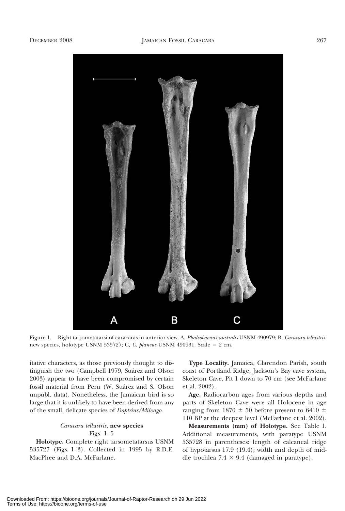

Figure 1. Right tarsometatarsi of caracaras in anterior view. A, Phalcobaenus australis USNM 490979; B, Caracara tellustris, new species, holotype USNM 535727; C, C. plancus USNM 490931. Scale = 2 cm.

itative characters, as those previously thought to distinguish the two (Campbell 1979, Suárez and Olson 2003) appear to have been compromised by certain fossil material from Peru (W. Suárez and S. Olson unpubl. data). Nonetheless, the Jamaican bird is so large that it is unlikely to have been derived from any of the small, delicate species of Daptrius/Milvago.

## Caracara tellustris, new species

### Figs. 1–5

Holotype. Complete right tarsometatarsus USNM 535727 (Figs. 1–3). Collected in 1995 by R.D.E. MacPhee and D.A. McFarlane.

Type Locality. Jamaica, Clarendon Parish, south coast of Portland Ridge, Jackson's Bay cave system, Skeleton Cave, Pit 1 down to 70 cm (see McFarlane et al. 2002).

Age. Radiocarbon ages from various depths and parts of Skeleton Cave were all Holocene in age ranging from 1870  $\pm$  50 before present to 6410  $\pm$ 110 BP at the deepest level (McFarlane et al. 2002).

Measurements (mm) of Holotype. See Table 1. Additional measurements, with paratype USNM 535728 in parentheses: length of calcaneal ridge of hypotarsus 17.9 (19.4); width and depth of middle trochlea  $7.4 \times 9.4$  (damaged in paratype).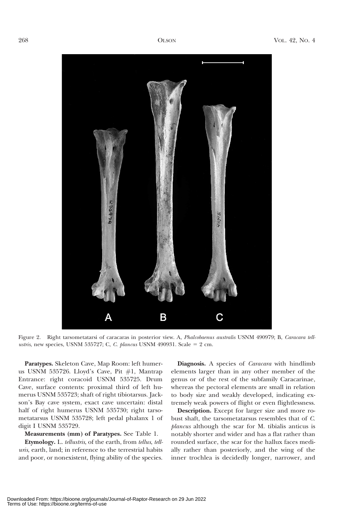

Figure 2. Right tarsometatarsi of caracaras in posterior view. A, Phalcobaenus australis USNM 490979; B, Caracara tellustris, new species, USNM 535727; C, C. plancus USNM 490931. Scale =  $2 \text{ cm}$ .

Paratypes. Skeleton Cave, Map Room: left humerus USNM 535726. Lloyd's Cave, Pit #1, Mantrap Entrance: right coracoid USNM 535725. Drum Cave, surface contents: proximal third of left humerus USNM 535723; shaft of right tibiotarsus. Jackson's Bay cave system, exact cave uncertain: distal half of right humerus USNM 535730; right tarsometatarsus USNM 535728; left pedal phalanx 1 of digit I USNM 535729.

### Measurements (mm) of Paratypes. See Table 1.

Etymology. L. tellustris, of the earth, from tellus, telluris, earth, land; in reference to the terrestrial habits and poor, or nonexistent, flying ability of the species.

Diagnosis. A species of *Caracara* with hindlimb elements larger than in any other member of the genus or of the rest of the subfamily Caracarinae, whereas the pectoral elements are small in relation to body size and weakly developed, indicating extremely weak powers of flight or even flightlessness.

Description. Except for larger size and more robust shaft, the tarsometatarsus resembles that of C. plancus although the scar for M. tibialis anticus is notably shorter and wider and has a flat rather than rounded surface, the scar for the hallux faces medially rather than posteriorly, and the wing of the inner trochlea is decidedly longer, narrower, and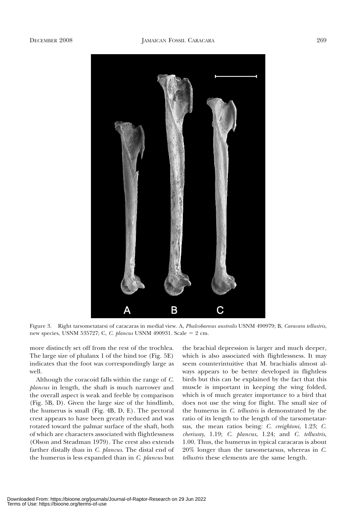

Figure 3. Right tarsometatarsi of caracaras in medial view. A, Phalcobaenus australis USNM 490979; B, Caracara tellustris, new species, USNM 535727; C, C. plancus USNM 490931. Scale = 2 cm.

more distinctly set off from the rest of the trochlea. The large size of phalanx 1 of the hind toe (Fig. 5E) indicates that the foot was correspondingly large as well.

Although the coracoid falls within the range of C. plancus in length, the shaft is much narrower and the overall aspect is weak and feeble by comparison (Fig. 5B, D). Given the large size of the hindlimb, the humerus is small (Fig. 4B, D, E). The pectoral crest appears to have been greatly reduced and was rotated toward the palmar surface of the shaft, both of which are characters associated with flightlessness (Olson and Steadman 1979). The crest also extends farther distally than in C. plancus. The distal end of the humerus is less expanded than in C. plancus but

the brachial depression is larger and much deeper, which is also associated with flightlessness. It may seem counterintuitive that M. brachialis almost always appears to be better developed in flightless birds but this can be explained by the fact that this muscle is important in keeping the wing folded, which is of much greater importance to a bird that does not use the wing for flight. The small size of the humerus in C. tellustris is demonstrated by the ratio of its length to the length of the tarsometatarsus, the mean ratios being: C. creightoni, 1.23; C. cheriway, 1.19; C. plancus, 1.24; and C. tellustris, 1.00. Thus, the humerus in typical caracaras is about 20% longer than the tarsometarsus, whereas in C. tellustris these elements are the same length.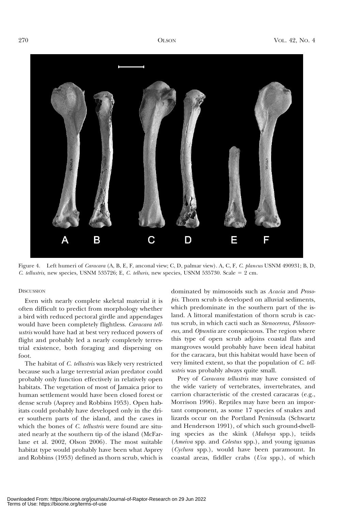

Figure 4. Left humeri of *Caracara* (A, B, E, F, anconal view; C, D, palmar view). A, C, F, C. plancus USNM 490931; B, D, C. tellustris, new species, USNM 535726; E, C. telluris, new species, USNM 535730. Scale =  $2 \text{ cm}$ .

#### **DISCUSSION**

Even with nearly complete skeletal material it is often difficult to predict from morphology whether a bird with reduced pectoral girdle and appendages would have been completely flightless. Caracara tellustris would have had at best very reduced powers of flight and probably led a nearly completely terrestrial existence, both foraging and dispersing on foot.

The habitat of C. tellustris was likely very restricted because such a large terrestrial avian predator could probably only function effectively in relatively open habitats. The vegetation of most of Jamaica prior to human settlement would have been closed forest or dense scrub (Asprey and Robbins 1953). Open habitats could probably have developed only in the drier southern parts of the island, and the caves in which the bones of *C. tellustris* were found are situated nearly at the southern tip of the island (McFarlane et al. 2002, Olson 2006). The most suitable habitat type would probably have been what Asprey and Robbins (1953) defined as thorn scrub, which is

dominated by mimosoids such as Acacia and Prosopis. Thorn scrub is developed on alluvial sediments, which predominate in the southern part of the island. A littoral manifestation of thorn scrub is cactus scrub, in which cacti such as Stenocereus, Pilosocereus, and Opuntia are conspicuous. The region where this type of open scrub adjoins coastal flats and mangroves would probably have been ideal habitat for the caracara, but this habitat would have been of very limited extent, so that the population of C. tellustris was probably always quite small.

Prey of *Caracara tellustris* may have consisted of the wide variety of vertebrates, invertebrates, and carrion characteristic of the crested caracaras (e.g., Morrison 1996). Reptiles may have been an important component, as some 17 species of snakes and lizards occur on the Portland Peninsula (Schwartz and Henderson 1991), of which such ground-dwelling species as the skink (Mabuya spp.), teiids (Ameiva spp. and Celestus spp.), and young iguanas (Cyclura spp.), would have been paramount. In coastal areas, fiddler crabs (Uca spp.), of which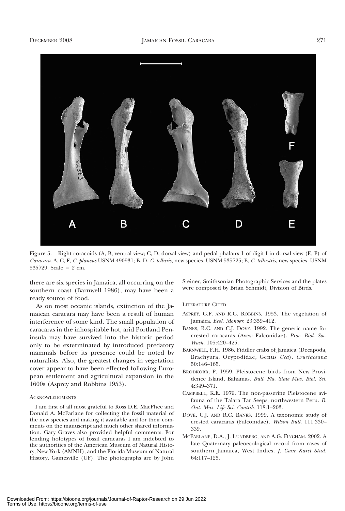

Figure 5. Right coracoids (A, B, ventral view; C, D, dorsal view) and pedal phalanx 1 of digit I in dorsal view (E, F) of Caracara. A, C, F, C. plancus USNM 490931; B, D, C. telluris, new species, USNM 535725; E, C. tellustris, new species, USNM 535729. Scale =  $2 \text{ cm}$ .

there are six species in Jamaica, all occurring on the southern coast (Barnwell 1986), may have been a ready source of food.

As on most oceanic islands, extinction of the Jamaican caracara may have been a result of human interference of some kind. The small population of caracaras in the inhospitable hot, arid Portland Peninsula may have survived into the historic period only to be exterminated by introduced predatory mammals before its presence could be noted by naturalists. Also, the greatest changes in vegetation cover appear to have been effected following European settlement and agricultural expansion in the 1600s (Asprey and Robbins 1953).

#### ACKNOWLEDGMENTS

I am first of all most grateful to Ross D.E. MacPhee and Donald A. McFarlane for collecting the fossil material of the new species and making it available and for their comments on the manuscript and much other shared information. Gary Graves also provided helpful comments. For lending holotypes of fossil caracaras I am indebted to the authorities of the American Museum of Natural History, New York (AMNH), and the Florida Museum of Natural History, Gainesville (UF). The photographs are by John Steiner, Smithsonian Photographic Services and the plates were composed by Brian Schmidt, Division of Birds.

LITERATURE CITED

- ASPREY, G.F. AND R.G. ROBBINS. 1953. The vegetation of Jamaica. Ecol. Monogr. 23:359–412.
- BANKS, R.C. AND C.J. DOVE. 1992. The generic name for crested caracaras (Aves: Falconidae). Proc. Biol. Soc. Wash. 105:420–425.
- BARNWELL, F.H. 1986. Fiddler crabs of Jamaica (Decapoda, Brachyura, Ocypodidae, Genus Uca). Crustaceana 50:146–165.
- BRODKORB, P. 1959. Pleistocene birds from New Providence Island, Bahamas. Bull. Fla. State Mus. Biol. Sci. 4:349–371.
- CAMPBELL, K.E. 1979. The non-passerine Pleistocene avifauna of the Talara Tar Seeps, northwestern Peru. R. Ont. Mus. Life Sci. Contrib. 118:1–203.
- DOVE, C.J. AND R.C. BANKS. 1999. A taxonomic study of crested caracaras (Falconidae). Wilson Bull. 111:330– 339.
- MCFARLANE, D.A., J. LUNDBERG, AND A.G. FINCHAM. 2002. A late Quaternary paleoecological record from caves of southern Jamaica, West Indies. J. Cave Karst Stud. 64:117–125.